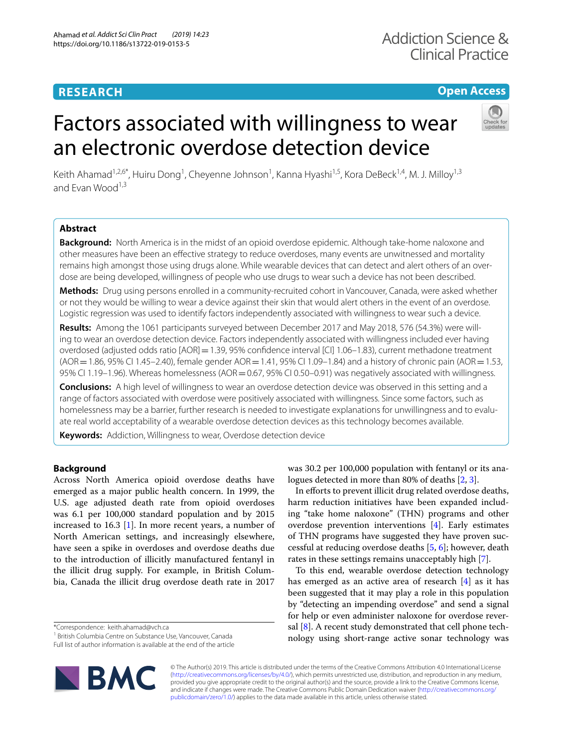# **RESEARCH**

## **Open Access**

# Factors associated with willingness to wear an electronic overdose detection device



Keith Ahamad<sup>1,2,6\*</sup>, Huiru Dong<sup>1</sup>, Cheyenne Johnson<sup>1</sup>, Kanna Hyashi<sup>1,5</sup>, Kora DeBeck<sup>1,4</sup>, M. J. Milloy<sup>1,3</sup> and Evan Wood $1,3$ 

## **Abstract**

**Background:** North America is in the midst of an opioid overdose epidemic. Although take-home naloxone and other measures have been an efective strategy to reduce overdoses, many events are unwitnessed and mortality remains high amongst those using drugs alone. While wearable devices that can detect and alert others of an overdose are being developed, willingness of people who use drugs to wear such a device has not been described.

**Methods:** Drug using persons enrolled in a community-recruited cohort in Vancouver, Canada, were asked whether or not they would be willing to wear a device against their skin that would alert others in the event of an overdose. Logistic regression was used to identify factors independently associated with willingness to wear such a device.

**Results:** Among the 1061 participants surveyed between December 2017 and May 2018, 576 (54.3%) were willing to wear an overdose detection device. Factors independently associated with willingness included ever having overdosed (adjusted odds ratio [AOR]=1.39, 95% confdence interval [CI] 1.06–1.83), current methadone treatment  $(AOR = 1.86, 95\%$  CI 1.45–2.40), female gender  $AOR = 1.41, 95\%$  CI 1.09–1.84) and a history of chronic pain  $(AOR = 1.53, 1.53)$ 95% CI 1.19-1.96). Whereas homelessness (AOR=0.67, 95% CI 0.50-0.91) was negatively associated with willingness.

**Conclusions:** A high level of willingness to wear an overdose detection device was observed in this setting and a range of factors associated with overdose were positively associated with willingness. Since some factors, such as homelessness may be a barrier, further research is needed to investigate explanations for unwillingness and to evaluate real world acceptability of a wearable overdose detection devices as this technology becomes available.

**Keywords:** Addiction, Willingness to wear, Overdose detection device

## **Background**

Across North America opioid overdose deaths have emerged as a major public health concern. In 1999, the U.S. age adjusted death rate from opioid overdoses was 6.1 per 100,000 standard population and by 2015 increased to 16.3 [[1\]](#page-4-0). In more recent years, a number of North American settings, and increasingly elsewhere, have seen a spike in overdoses and overdose deaths due to the introduction of illicitly manufactured fentanyl in the illicit drug supply. For example, in British Columbia, Canada the illicit drug overdose death rate in 2017

\*Correspondence: keith.ahamad@vch.ca

Full list of author information is available at the end of the article



was 30.2 per 100,000 population with fentanyl or its analogues detected in more than 80% of deaths [\[2](#page-4-1), [3\]](#page-4-2).

In efforts to prevent illicit drug related overdose deaths, harm reduction initiatives have been expanded including "take home naloxone" (THN) programs and other overdose prevention interventions [[4\]](#page-4-3). Early estimates of THN programs have suggested they have proven successful at reducing overdose deaths [[5,](#page-4-4) [6](#page-4-5)]; however, death rates in these settings remains unacceptably high [\[7](#page-4-6)].

To this end, wearable overdose detection technology has emerged as an active area of research  $[4]$  $[4]$  as it has been suggested that it may play a role in this population by "detecting an impending overdose" and send a signal for help or even administer naloxone for overdose reversal [\[8\]](#page-4-7). A recent study demonstrated that cell phone technology using short-range active sonar technology was

© The Author(s) 2019. This article is distributed under the terms of the Creative Commons Attribution 4.0 International License [\(http://creativecommons.org/licenses/by/4.0/\)](http://creativecommons.org/licenses/by/4.0/), which permits unrestricted use, distribution, and reproduction in any medium, provided you give appropriate credit to the original author(s) and the source, provide a link to the Creative Commons license, and indicate if changes were made. The Creative Commons Public Domain Dedication waiver ([http://creativecommons.org/](http://creativecommons.org/publicdomain/zero/1.0/) [publicdomain/zero/1.0/](http://creativecommons.org/publicdomain/zero/1.0/)) applies to the data made available in this article, unless otherwise stated.

<sup>&</sup>lt;sup>1</sup> British Columbia Centre on Substance Use, Vancouver, Canada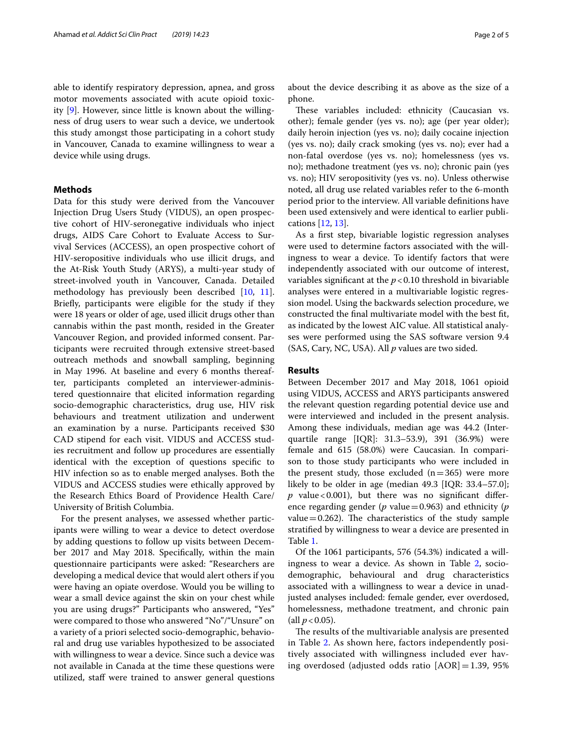able to identify respiratory depression, apnea, and gross motor movements associated with acute opioid toxicity [[9\]](#page-4-8). However, since little is known about the willingness of drug users to wear such a device, we undertook this study amongst those participating in a cohort study in Vancouver, Canada to examine willingness to wear a device while using drugs.

## **Methods**

Data for this study were derived from the Vancouver Injection Drug Users Study (VIDUS), an open prospective cohort of HIV-seronegative individuals who inject drugs, AIDS Care Cohort to Evaluate Access to Survival Services (ACCESS), an open prospective cohort of HIV-seropositive individuals who use illicit drugs, and the At-Risk Youth Study (ARYS), a multi-year study of street-involved youth in Vancouver, Canada. Detailed methodology has previously been described [[10](#page-4-9), [11](#page-4-10)]. Briefy, participants were eligible for the study if they were 18 years or older of age, used illicit drugs other than cannabis within the past month, resided in the Greater Vancouver Region, and provided informed consent. Participants were recruited through extensive street-based outreach methods and snowball sampling, beginning in May 1996. At baseline and every 6 months thereafter, participants completed an interviewer-administered questionnaire that elicited information regarding socio-demographic characteristics, drug use, HIV risk behaviours and treatment utilization and underwent an examination by a nurse. Participants received \$30 CAD stipend for each visit. VIDUS and ACCESS studies recruitment and follow up procedures are essentially identical with the exception of questions specifc to HIV infection so as to enable merged analyses. Both the VIDUS and ACCESS studies were ethically approved by the Research Ethics Board of Providence Health Care/ University of British Columbia.

For the present analyses, we assessed whether participants were willing to wear a device to detect overdose by adding questions to follow up visits between December 2017 and May 2018. Specifcally, within the main questionnaire participants were asked: "Researchers are developing a medical device that would alert others if you were having an opiate overdose. Would you be willing to wear a small device against the skin on your chest while you are using drugs?" Participants who answered, "Yes" were compared to those who answered "No"/"Unsure" on a variety of a priori selected socio-demographic, behavioral and drug use variables hypothesized to be associated with willingness to wear a device. Since such a device was not available in Canada at the time these questions were utilized, staf were trained to answer general questions about the device describing it as above as the size of a phone.

These variables included: ethnicity (Caucasian vs. other); female gender (yes vs. no); age (per year older); daily heroin injection (yes vs. no); daily cocaine injection (yes vs. no); daily crack smoking (yes vs. no); ever had a non-fatal overdose (yes vs. no); homelessness (yes vs. no); methadone treatment (yes vs. no); chronic pain (yes vs. no); HIV seropositivity (yes vs. no). Unless otherwise noted, all drug use related variables refer to the 6-month period prior to the interview. All variable defnitions have been used extensively and were identical to earlier publications [\[12](#page-4-11), [13\]](#page-4-12).

As a frst step, bivariable logistic regression analyses were used to determine factors associated with the willingness to wear a device. To identify factors that were independently associated with our outcome of interest, variables signifcant at the *p*<0.10 threshold in bivariable analyses were entered in a multivariable logistic regression model. Using the backwards selection procedure, we constructed the fnal multivariate model with the best ft, as indicated by the lowest AIC value. All statistical analyses were performed using the SAS software version 9.4 (SAS, Cary, NC, USA). All *p* values are two sided.

## **Results**

Between December 2017 and May 2018, 1061 opioid using VIDUS, ACCESS and ARYS participants answered the relevant question regarding potential device use and were interviewed and included in the present analysis. Among these individuals, median age was 44.2 (Interquartile range [IQR]: 31.3–53.9), 391 (36.9%) were female and 615 (58.0%) were Caucasian. In comparison to those study participants who were included in the present study, those excluded  $(n=365)$  were more likely to be older in age (median 49.3 [IQR: 33.4–57.0];  $p$  value < 0.001), but there was no significant difference regarding gender (*p* value=0.963) and ethnicity (*p* value =  $0.262$ ). The characteristics of the study sample stratifed by willingness to wear a device are presented in Table [1](#page-2-0).

Of the 1061 participants, 576 (54.3%) indicated a willingness to wear a device. As shown in Table [2](#page-2-1), sociodemographic, behavioural and drug characteristics associated with a willingness to wear a device in unadjusted analyses included: female gender, ever overdosed, homelessness, methadone treatment, and chronic pain (all  $p < 0.05$ ).

The results of the multivariable analysis are presented in Table [2](#page-2-1). As shown here, factors independently positively associated with willingness included ever having overdosed (adjusted odds ratio  $[AOR] = 1.39, 95\%$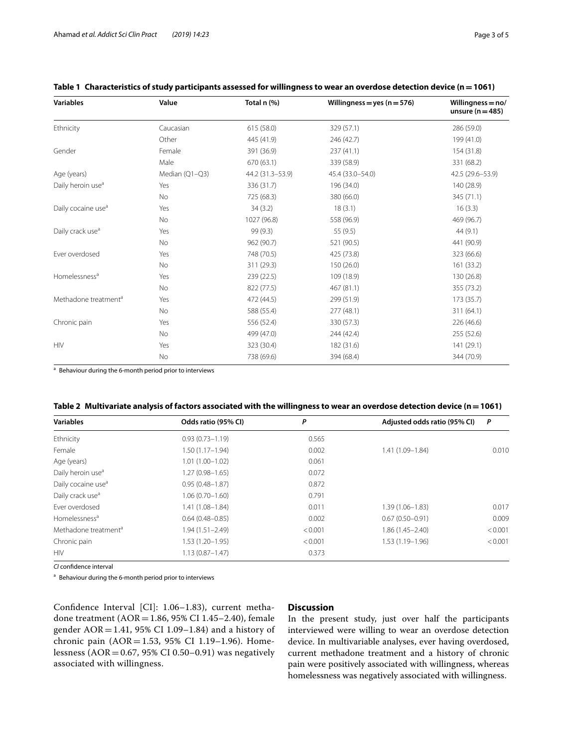| <b>Variables</b>                 | Value          | Total n (%)      | Willingness = yes $(n = 576)$ | Willingness $=$ no/<br>unsure $(n = 485)$ |
|----------------------------------|----------------|------------------|-------------------------------|-------------------------------------------|
| Ethnicity                        | Caucasian      | 615(58.0)        | 329 (57.1)                    | 286 (59.0)                                |
|                                  | Other          | 445 (41.9)       | 246 (42.7)                    | 199 (41.0)                                |
| Gender                           | Female         | 391 (36.9)       | 237(41.1)                     | 154 (31.8)                                |
|                                  | Male           | 670(63.1)        | 339 (58.9)                    | 331 (68.2)                                |
| Age (years)                      | Median (Q1-Q3) | 44.2 (31.3-53.9) | 45.4 (33.0-54.0)              | 42.5 (29.6-53.9)                          |
| Daily heroin use <sup>a</sup>    | Yes            | 336 (31.7)       | 196 (34.0)                    | 140 (28.9)                                |
|                                  | <b>No</b>      | 725 (68.3)       | 380 (66.0)                    | 345(71.1)                                 |
| Daily cocaine use <sup>a</sup>   | Yes            | 34(3.2)          | 18(3.1)                       | 16(3.3)                                   |
|                                  | <b>No</b>      | 1027 (96.8)      | 558 (96.9)                    | 469 (96.7)                                |
| Daily crack use <sup>a</sup>     | Yes            | 99 (9.3)         | 55 (9.5)                      | 44 (9.1)                                  |
|                                  | No             | 962 (90.7)       | 521 (90.5)                    | 441 (90.9)                                |
| Ever overdosed                   | Yes            | 748 (70.5)       | 425 (73.8)                    | 323 (66.6)                                |
|                                  | No             | 311 (29.3)       | 150 (26.0)                    | 161 (33.2)                                |
| Homelessness <sup>a</sup>        | Yes            | 239 (22.5)       | 109 (18.9)                    | 130 (26.8)                                |
|                                  | No             | 822 (77.5)       | 467(81.1)                     | 355 (73.2)                                |
| Methadone treatment <sup>a</sup> | Yes            | 472 (44.5)       | 299 (51.9)                    | 173 (35.7)                                |
|                                  | <b>No</b>      | 588 (55.4)       | 277 (48.1)                    | 311 (64.1)                                |
| Chronic pain                     | Yes            | 556 (52.4)       | 330 (57.3)                    | 226 (46.6)                                |
|                                  | No             | 499 (47.0)       | 244 (42.4)                    | 255 (52.6)                                |
| <b>HIV</b>                       | Yes            | 323 (30.4)       | 182 (31.6)                    | 141 (29.1)                                |
|                                  | No             | 738 (69.6)       | 394 (68.4)                    | 344 (70.9)                                |

## <span id="page-2-0"></span>**Table 1 Characteristics of study participants assessed for willingness to wear an overdose detection device (n=1061)**

<sup>a</sup> Behaviour during the 6-month period prior to interviews

<span id="page-2-1"></span>

| Table 2 Multivariate analysis of factors associated with the willingness to wear an overdose detection device (n = 1061) |  |
|--------------------------------------------------------------------------------------------------------------------------|--|
|--------------------------------------------------------------------------------------------------------------------------|--|

| <b>Variables</b>                 | Odds ratio (95% CI) | Ρ       | Adjusted odds ratio (95% CI) | P       |
|----------------------------------|---------------------|---------|------------------------------|---------|
| Ethnicity                        | $0.93(0.73 - 1.19)$ | 0.565   |                              |         |
| Female                           | $1.50(1.17 - 1.94)$ | 0.002   | $1.41(1.09 - 1.84)$          | 0.010   |
| Age (years)                      | $1.01(1.00 - 1.02)$ | 0.061   |                              |         |
| Daily heroin use <sup>a</sup>    | $1.27(0.98 - 1.65)$ | 0.072   |                              |         |
| Daily cocaine use <sup>a</sup>   | $0.95(0.48 - 1.87)$ | 0.872   |                              |         |
| Daily crack use <sup>a</sup>     | $1.06(0.70 - 1.60)$ | 0.791   |                              |         |
| Fver overdosed                   | $1.41(1.08 - 1.84)$ | 0.011   | $1.39(1.06 - 1.83)$          | 0.017   |
| Homelessness <sup>a</sup>        | $0.64(0.48 - 0.85)$ | 0.002   | $0.67(0.50 - 0.91)$          | 0.009   |
| Methadone treatment <sup>a</sup> | $1.94(1.51 - 2.49)$ | < 0.001 | $1.86(1.45 - 2.40)$          | < 0.001 |
| Chronic pain                     | $1.53(1.20 - 1.95)$ | < 0.001 | $1.53(1.19 - 1.96)$          | < 0.001 |
| <b>HIV</b>                       | $1.13(0.87 - 1.47)$ | 0.373   |                              |         |

*CI* confdence interval

<sup>a</sup> Behaviour during the 6-month period prior to interviews

Confdence Interval [CI]: 1.06–1.83), current methadone treatment (AOR=1.86, 95% CI 1.45–2.40), female gender AOR=1.41, 95% CI 1.09–1.84) and a history of chronic pain (AOR=1.53, 95% CI 1.19–1.96). Homelessness (AOR=0.67, 95% CI 0.50–0.91) was negatively associated with willingness.

## **Discussion**

In the present study, just over half the participants interviewed were willing to wear an overdose detection device. In multivariable analyses, ever having overdosed, current methadone treatment and a history of chronic pain were positively associated with willingness, whereas homelessness was negatively associated with willingness.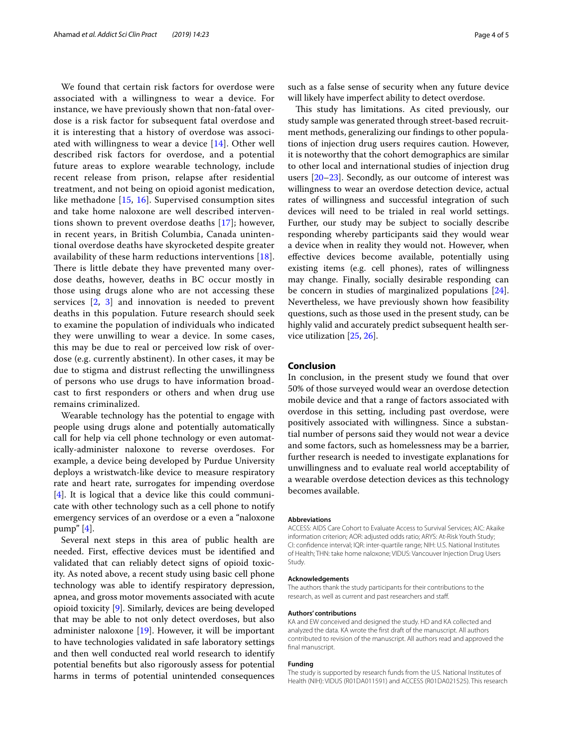We found that certain risk factors for overdose were associated with a willingness to wear a device. For instance, we have previously shown that non-fatal overdose is a risk factor for subsequent fatal overdose and it is interesting that a history of overdose was associated with willingness to wear a device [\[14](#page-4-13)]. Other well described risk factors for overdose, and a potential future areas to explore wearable technology, include recent release from prison, relapse after residential treatment, and not being on opioid agonist medication, like methadone [[15,](#page-4-14) [16\]](#page-4-15). Supervised consumption sites and take home naloxone are well described interventions shown to prevent overdose deaths [[17](#page-4-16)]; however, in recent years, in British Columbia, Canada unintentional overdose deaths have skyrocketed despite greater availability of these harm reductions interventions [[18\]](#page-4-17). There is little debate they have prevented many overdose deaths, however, deaths in BC occur mostly in those using drugs alone who are not accessing these services [[2,](#page-4-1) [3](#page-4-2)] and innovation is needed to prevent deaths in this population. Future research should seek to examine the population of individuals who indicated they were unwilling to wear a device. In some cases, this may be due to real or perceived low risk of overdose (e.g. currently abstinent). In other cases, it may be due to stigma and distrust refecting the unwillingness of persons who use drugs to have information broadcast to frst responders or others and when drug use remains criminalized.

Wearable technology has the potential to engage with people using drugs alone and potentially automatically call for help via cell phone technology or even automatically-administer naloxone to reverse overdoses. For example, a device being developed by Purdue University deploys a wristwatch-like device to measure respiratory rate and heart rate, surrogates for impending overdose [[4\]](#page-4-3). It is logical that a device like this could communicate with other technology such as a cell phone to notify emergency services of an overdose or a even a "naloxone pump" [[4\]](#page-4-3).

Several next steps in this area of public health are needed. First, efective devices must be identifed and validated that can reliably detect signs of opioid toxicity. As noted above, a recent study using basic cell phone technology was able to identify respiratory depression, apnea, and gross motor movements associated with acute opioid toxicity [[9\]](#page-4-8). Similarly, devices are being developed that may be able to not only detect overdoses, but also administer naloxone [[19\]](#page-4-18). However, it will be important to have technologies validated in safe laboratory settings and then well conducted real world research to identify potential benefts but also rigorously assess for potential harms in terms of potential unintended consequences such as a false sense of security when any future device will likely have imperfect ability to detect overdose.

This study has limitations. As cited previously, our study sample was generated through street-based recruitment methods, generalizing our fndings to other populations of injection drug users requires caution. However, it is noteworthy that the cohort demographics are similar to other local and international studies of injection drug users [[20](#page-4-19)[–23](#page-4-20)]. Secondly, as our outcome of interest was willingness to wear an overdose detection device, actual rates of willingness and successful integration of such devices will need to be trialed in real world settings. Further, our study may be subject to socially describe responding whereby participants said they would wear a device when in reality they would not. However, when efective devices become available, potentially using existing items (e.g. cell phones), rates of willingness may change. Finally, socially desirable responding can be concern in studies of marginalized populations [\[24](#page-4-21)]. Nevertheless, we have previously shown how feasibility questions, such as those used in the present study, can be highly valid and accurately predict subsequent health service utilization [\[25](#page-4-22), [26\]](#page-4-23).

## **Conclusion**

In conclusion, in the present study we found that over 50% of those surveyed would wear an overdose detection mobile device and that a range of factors associated with overdose in this setting, including past overdose, were positively associated with willingness. Since a substantial number of persons said they would not wear a device and some factors, such as homelessness may be a barrier, further research is needed to investigate explanations for unwillingness and to evaluate real world acceptability of a wearable overdose detection devices as this technology becomes available.

#### **Abbreviations**

ACCESS: AIDS Care Cohort to Evaluate Access to Survival Services; AIC: Akaike information criterion; AOR: adjusted odds ratio; ARYS: At-Risk Youth Study; CI: confdence interval; IQR: inter-quartile range; NIH: U.S. National Institutes of Health; THN: take home naloxone; VIDUS: Vancouver Injection Drug Users **Study** 

#### **Acknowledgements**

The authors thank the study participants for their contributions to the research, as well as current and past researchers and staff.

#### **Authors' contributions**

KA and EW conceived and designed the study. HD and KA collected and analyzed the data. KA wrote the frst draft of the manuscript. All authors contributed to revision of the manuscript. All authors read and approved the fnal manuscript.

#### **Funding**

The study is supported by research funds from the U.S. National Institutes of Health (NIH): VIDUS (R01DA011591) and ACCESS (R01DA021525). This research